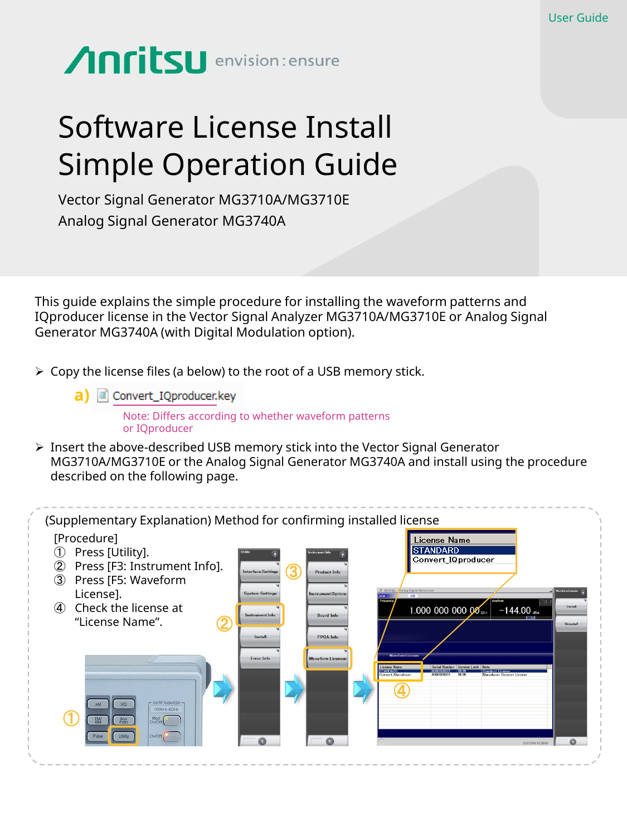## Anritsu envision: ensure

## Software License Install Simple Operation Guide

Vector Signal Generator MG3710A/MG3710E Analog Signal Generator MG3740A

This guide explains the simple procedure for installing the waveform patterns and IQproducer license in the Vector Signal Analyzer MG3710A/MG3710E or Analog Signal Generator MG3740A (with Digital Modulation option).

- $\triangleright$  Copy the license files (a below) to the root of a USB memory stick.
	- **a)** Convert\_IQproducer.key

Note: Differs according to whether waveform patterns or IQproducer

➢ Insert the above-described USB memory stick into the Vector Signal Generator MG3710A/MG3710E or the Analog Signal Generator MG3740A and install using the procedure described on the following page.